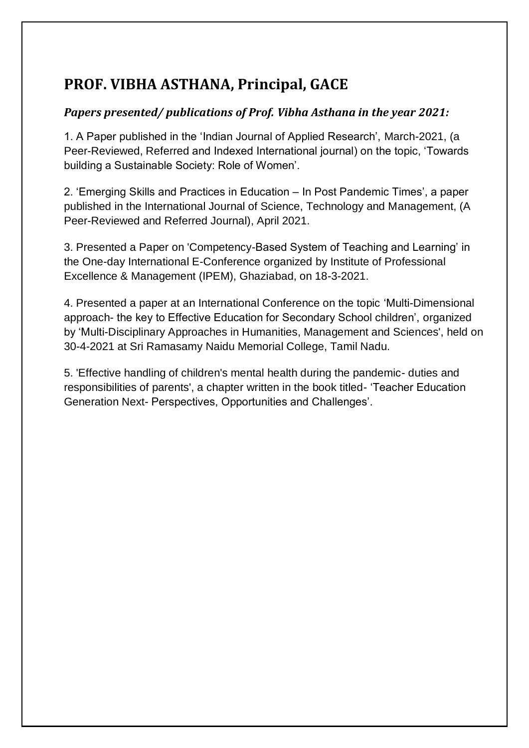# **PROF. VIBHA ASTHANA, Principal, GACE**

## *Papers presented/ publications of Prof. Vibha Asthana in the year 2021:*

1. A Paper published in the 'Indian Journal of Applied Research', March-2021, (a Peer-Reviewed, Referred and Indexed International journal) on the topic, 'Towards building a Sustainable Society: Role of Women'.

2. 'Emerging Skills and Practices in Education – In Post Pandemic Times', a paper published in the International Journal of Science, Technology and Management, (A Peer-Reviewed and Referred Journal), April 2021.

3. Presented a Paper on 'Competency-Based System of Teaching and Learning' in the One-day International E-Conference organized by Institute of Professional Excellence & Management (IPEM), Ghaziabad, on 18-3-2021.

4. Presented a paper at an International Conference on the topic 'Multi-Dimensional approach- the key to Effective Education for Secondary School children', organized by 'Multi-Disciplinary Approaches in Humanities, Management and Sciences', held on 30-4-2021 at Sri Ramasamy Naidu Memorial College, Tamil Nadu.

5. 'Effective handling of children's mental health during the pandemic- duties and responsibilities of parents', a chapter written in the book titled- 'Teacher Education Generation Next- Perspectives, Opportunities and Challenges'.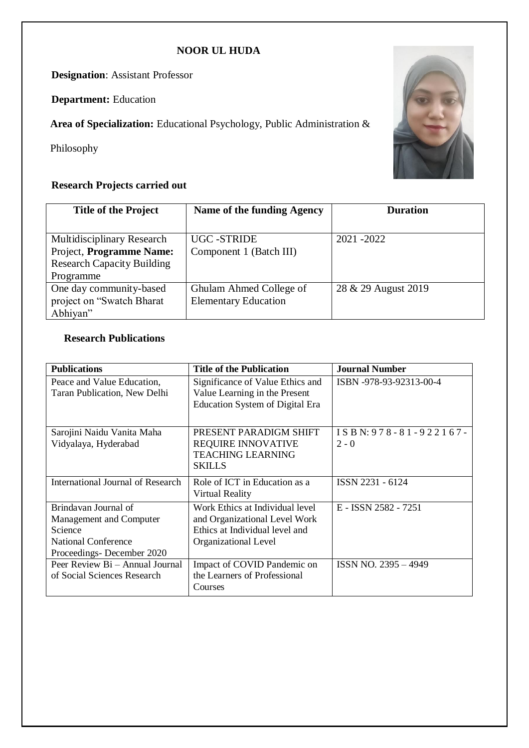#### **NOOR UL HUDA**

**Designation**: Assistant Professor

**Department:** Education

**Area of Specialization:** Educational Psychology, Public Administration &

Philosophy

#### **Research Projects carried out**



### **Research Publications**

| <b>Publications</b>                                                                                                   | <b>Title of the Publication</b>                                                                                            | <b>Journal Number</b>                |
|-----------------------------------------------------------------------------------------------------------------------|----------------------------------------------------------------------------------------------------------------------------|--------------------------------------|
| Peace and Value Education,<br>Taran Publication, New Delhi                                                            | Significance of Value Ethics and<br>Value Learning in the Present<br><b>Education System of Digital Era</b>                | ISBN -978-93-92313-00-4              |
| Sarojini Naidu Vanita Maha<br>Vidyalaya, Hyderabad                                                                    | PRESENT PARADIGM SHIFT<br><b>REQUIRE INNOVATIVE</b><br><b>TEACHING LEARNING</b><br><b>SKILLS</b>                           | ISBN: 978 - 81 - 922167 -<br>$2 - 0$ |
| <b>International Journal of Research</b>                                                                              | Role of ICT in Education as a<br>Virtual Reality                                                                           | ISSN 2231 - 6124                     |
| Brindavan Journal of<br>Management and Computer<br>Science<br><b>National Conference</b><br>Proceedings-December 2020 | Work Ethics at Individual level<br>and Organizational Level Work<br>Ethics at Individual level and<br>Organizational Level | E - ISSN 2582 - 7251                 |
| Peer Review Bi - Annual Journal<br>of Social Sciences Research                                                        | Impact of COVID Pandemic on<br>the Learners of Professional<br>Courses                                                     | ISSN NO. 2395 - 4949                 |

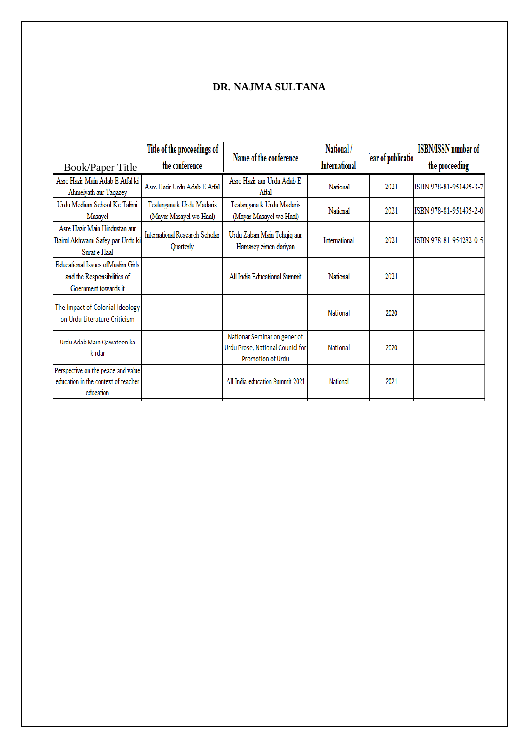### **DR. NAJMA SULTANA**

|                                                                                                  | Title of the proceedings of                          | Name of the conference                                                                | National/            | ear of publicatio | <b>ISBN/ISSN</b> number of |
|--------------------------------------------------------------------------------------------------|------------------------------------------------------|---------------------------------------------------------------------------------------|----------------------|-------------------|----------------------------|
| <b>Book/Paper Title</b>                                                                          | the conference                                       |                                                                                       | <b>International</b> |                   | the proceeding             |
| Asre Hazir Main Adab E Atfal ki<br>Ahmeiyath aur Taqazey                                         | Asre Hazir Urdu Adab E Atfal                         | Asre Hazir aur Urdu Adab E<br>Aftal                                                   | National             | 2021              | ISBN 978-81-951495-3-7     |
| Urdu Medium School Ke Talimi<br>Masayel                                                          | Tealangana k Urdu Madaris<br>(Mayar Masayel wo Haal) | Tealangana k Urdu Madaris<br>(Mayar Masayel wo Haal)                                  | National             | 2021              | ISBN 978-81-951495-2-0     |
| Asre Hazir Main Hindustan aur<br>Bairul Akhwami Safey par Urdu ki<br>Surat e Haal                | International Research Scholar<br>Quarterly          | Urdu Zaban Main Tehqiq aur<br>Hamarey zimen dariyan                                   | International        | 2021              | ISBN 978-81-954282-0-5     |
| <b>Educational Issues of Muslim Girls</b><br>and the Responsibilities of<br>Goernment towards it |                                                      | All India Educational Summit                                                          | National             | 2021              |                            |
| The Impact of Colonial Ideology<br>on Urdu Literature Criticism                                  |                                                      |                                                                                       | National             | 2020              |                            |
| Urdu Adab Main Qawateen ka<br>kirdar                                                             |                                                      | Nationar Seminar on gener of<br>Urdu Prose, National Counicl for<br>Promotion of Urdu | National             | 2020              |                            |
| Perspective on the peace and value<br>education in the context of teacher<br>education           |                                                      | All India education Summit-2021                                                       | National             | 2021              |                            |